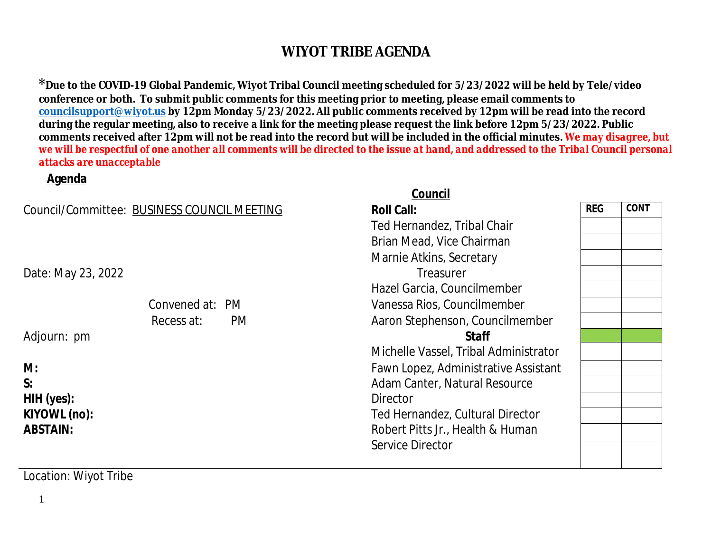<sup>\*</sup> Due to the COVID-19 Global Pandemic, Wiyot Tribal Council meeting scheduled for 5/23/2022 will be l conference or both. To submit public comments for this meeting prior to meeting, please email commen **councilsupport@wiyot.us by 12pm Monday 5/23/2022. All public comments received by 12pm will be reading** during the regular meeting, also to receive a link for the meeting please request the link before 12pm 5. comments received after 12pm will not be read into the record but will be included in the official minut *we will be respectful of one another all comments will be directed to the issue at hand, and addressed to the Tribal Council personal council personal council personal council personal council personal de response we will attacks are unacceptable*

|                                             | Council                              |
|---------------------------------------------|--------------------------------------|
| Council/Committee: BUSINESS COUNCIL MEETING | <b>Roll Call:</b>                    |
|                                             | Ted Hernandez, Tribal Chair          |
|                                             | Brian Mead, Vice Chairman            |
|                                             | Marnie Atkins, Secretary             |
| Date: May 23, 2022                          | Treasurer                            |
|                                             | Hazel Garcia, Councilmember          |
| Convened at: PM                             | Vanessa Rios, Councilmember          |
| Recess at:<br><b>PM</b>                     | Aaron Stephenson, Councilmember      |
| Adjourn: pm                                 | <b>Staff</b>                         |
|                                             | Michelle Vassel, Tribal Administrate |
| M:                                          | Fawn Lopez, Administrative Assista   |
| S:                                          | Adam Canter, Natural Resource        |
| HIH (yes):                                  | Director                             |
| KIYOWL (no):                                | Ted Hernandez, Cultural Director     |
| <b>ABSTAIN:</b>                             | Robert Pitts Jr., Health & Human     |
|                                             | <b>Service Director</b>              |

Location: Wiyot Tribe

**Agenda**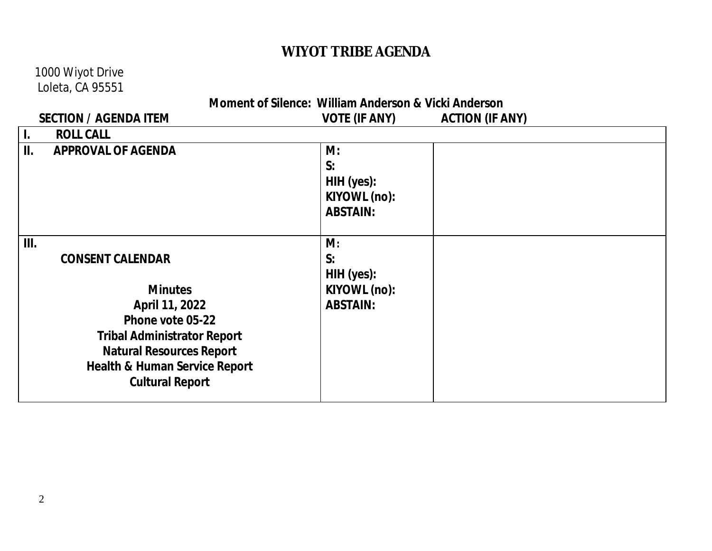### 1000 Wiyot Drive  $\mathsf{L}\mathsf{o}$

|                                                      | Loleta, CA 95551                         |                      |                        |
|------------------------------------------------------|------------------------------------------|----------------------|------------------------|
| Moment of Silence: William Anderson & Vicki Anderson |                                          |                      |                        |
|                                                      | <b>SECTION / AGENDA ITEM</b>             | <b>VOTE (IF ANY)</b> | <b>ACTION (IF ANY)</b> |
| $\mathbf{I}$ .                                       | <b>ROLL CALL</b>                         |                      |                        |
| II.                                                  | <b>APPROVAL OF AGENDA</b>                | M:                   |                        |
|                                                      |                                          | S:                   |                        |
|                                                      |                                          | HIH (yes):           |                        |
|                                                      |                                          | KIYOWL (no):         |                        |
|                                                      |                                          | <b>ABSTAIN:</b>      |                        |
|                                                      |                                          |                      |                        |
| III.                                                 |                                          | M:                   |                        |
|                                                      | <b>CONSENT CALENDAR</b>                  | S:                   |                        |
|                                                      |                                          | HIH (yes):           |                        |
|                                                      | <b>Minutes</b>                           | KIYOWL (no):         |                        |
|                                                      | April 11, 2022                           | <b>ABSTAIN:</b>      |                        |
|                                                      | Phone vote 05-22                         |                      |                        |
|                                                      | <b>Tribal Administrator Report</b>       |                      |                        |
|                                                      | <b>Natural Resources Report</b>          |                      |                        |
|                                                      | <b>Health &amp; Human Service Report</b> |                      |                        |
|                                                      | <b>Cultural Report</b>                   |                      |                        |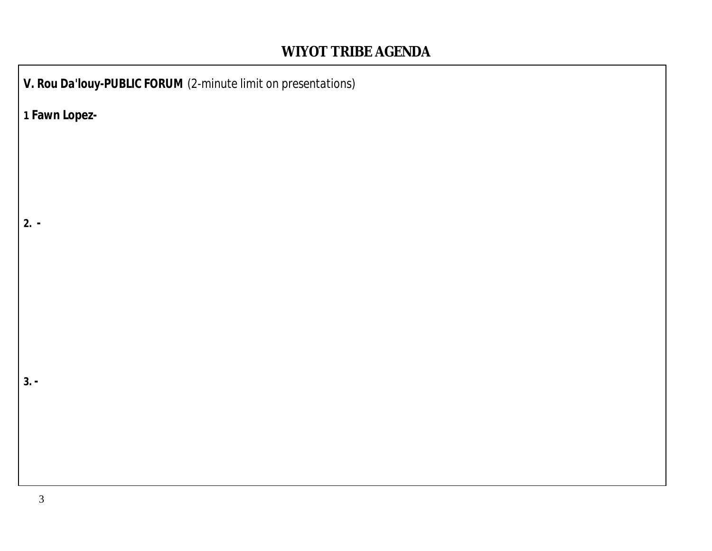*V. Rou Da'louy-PUBLIC FORUM (2-minute limit on presentations)* **1 Fawn Lopez-2. - 3. -**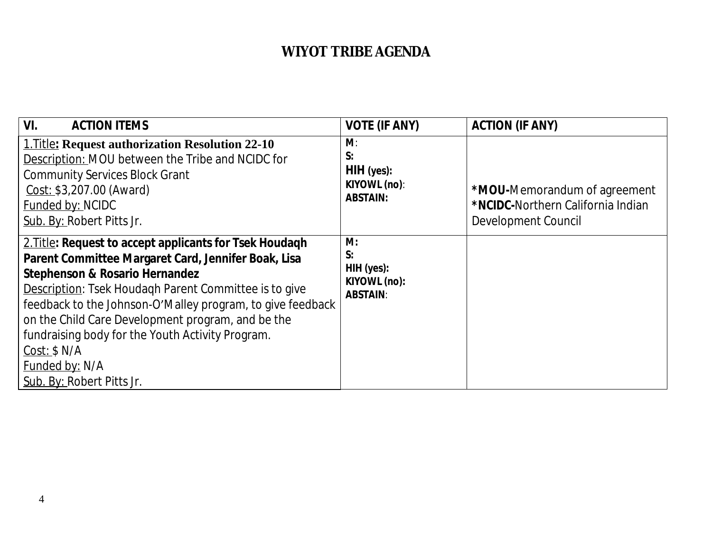| VI.<br><b>ACTION ITEMS</b>                                                                                                                                                                                                                                                                                                                                                                                                                                        | <b>VOTE (IF ANY)</b>                                      | <b>ACTION (IF ANY)</b>                                                                   |
|-------------------------------------------------------------------------------------------------------------------------------------------------------------------------------------------------------------------------------------------------------------------------------------------------------------------------------------------------------------------------------------------------------------------------------------------------------------------|-----------------------------------------------------------|------------------------------------------------------------------------------------------|
| <b>1. Title: Request authorization Resolution 22-10</b><br>Description: MOU between the Tribe and NCIDC for<br><b>Community Services Block Grant</b><br>Cost: \$3,207.00 (Award)<br>Funded by: NCIDC<br>Sub. By: Robert Pitts Jr.                                                                                                                                                                                                                                 | M:<br>S:<br>HIH (yes):<br>KIYOWL (no):<br><b>ABSTAIN:</b> | *MOU-Memorandum of agreement<br>*NCIDC-Northern California Indian<br>Development Council |
| 2. Title: Request to accept applicants for Tsek Houdaqh<br>Parent Committee Margaret Card, Jennifer Boak, Lisa<br><b>Stephenson &amp; Rosario Hernandez</b><br>Description: Tsek Houdagh Parent Committee is to give<br>feedback to the Johnson-O'Malley program, to give feedback<br>on the Child Care Development program, and be the<br>fundraising body for the Youth Activity Program.<br>Cost: \$ N/A<br><b>Funded by: N/A</b><br>Sub. By: Robert Pitts Jr. | M:<br>S:<br>HIH (yes):<br>KIYOWL (no):<br><b>ABSTAIN:</b> |                                                                                          |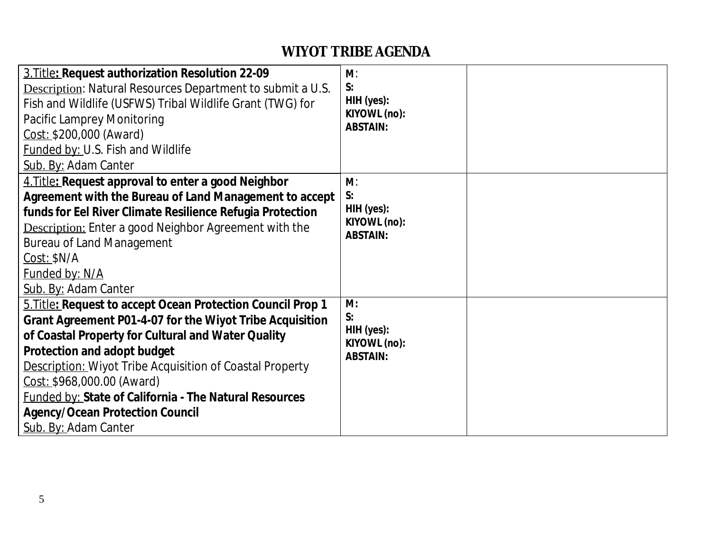| 3. Title: Request authorization Resolution 22-09<br><b>Description:</b> Natural Resources Department to submit a U.S.<br>Fish and Wildlife (USFWS) Tribal Wildlife Grant (TWG) for<br>Pacific Lamprey Monitoring<br>Cost: \$200,000 (Award)<br><b>Funded by: U.S. Fish and Wildlife</b><br>Sub. By: Adam Canter                                                                                                                                  | M:<br>S:<br>HIH (yes):<br>KIYOWL (no):<br><b>ABSTAIN:</b>    |  |
|--------------------------------------------------------------------------------------------------------------------------------------------------------------------------------------------------------------------------------------------------------------------------------------------------------------------------------------------------------------------------------------------------------------------------------------------------|--------------------------------------------------------------|--|
| 4. Title: Request approval to enter a good Neighbor<br>Agreement with the Bureau of Land Management to accept<br>funds for Eel River Climate Resilience Refugia Protection<br><b>Description:</b> Enter a good Neighbor Agreement with the<br><b>Bureau of Land Management</b><br>$Cost:$ \$N/A<br>Funded by: N/A<br>Sub. By: Adam Canter                                                                                                        | $M$ :<br>S:<br>HIH (yes):<br>KIYOWL (no):<br><b>ABSTAIN:</b> |  |
| 5. Title: Request to accept Ocean Protection Council Prop 1<br>Grant Agreement P01-4-07 for the Wiyot Tribe Acquisition<br>of Coastal Property for Cultural and Water Quality<br>Protection and adopt budget<br><b>Description: Wiyot Tribe Acquisition of Coastal Property</b><br>Cost: \$968,000.00 (Award)<br><b>Funded by: State of California - The Natural Resources</b><br><b>Agency/Ocean Protection Council</b><br>Sub. By: Adam Canter | M:<br>S:<br>HIH (yes):<br>KIYOWL (no):<br><b>ABSTAIN:</b>    |  |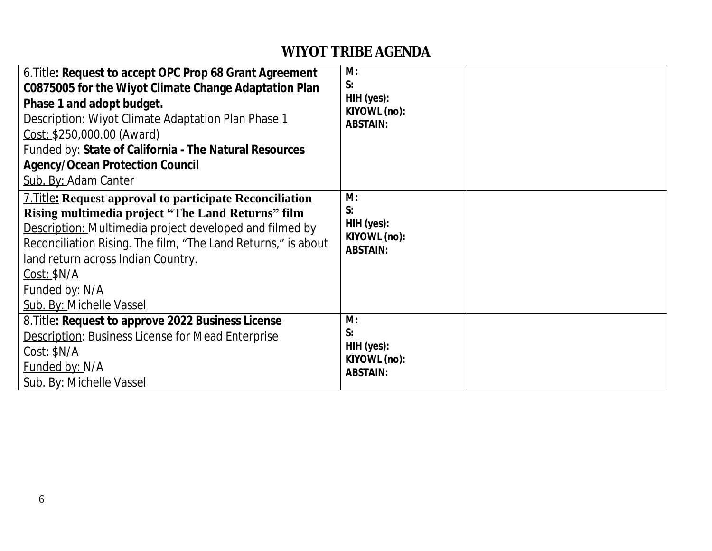| 6. Title: Request to accept OPC Prop 68 Grant Agreement<br>C0875005 for the Wiyot Climate Change Adaptation Plan<br>Phase 1 and adopt budget.<br>Description: Wiyot Climate Adaptation Plan Phase 1<br>Cost: \$250,000.00 (Award)<br><b>Funded by: State of California - The Natural Resources</b><br><b>Agency/Ocean Protection Council</b><br>Sub. By: Adam Canter | M:<br>S:<br>HIH (yes):<br>KIYOWL (no):<br><b>ABSTAIN:</b>  |  |
|----------------------------------------------------------------------------------------------------------------------------------------------------------------------------------------------------------------------------------------------------------------------------------------------------------------------------------------------------------------------|------------------------------------------------------------|--|
| <b>7. Title: Request approval to participate Reconciliation</b><br>Rising multimedia project "The Land Returns" film<br>Description: Multimedia project developed and filmed by<br>Reconciliation Rising. The film, "The Land Returns," is about<br>land return across Indian Country.<br>$Cost:$ \$N/A<br>Funded by: N/A<br>Sub. By: Michelle Vassel                | M:<br>S:<br>HIH (yes):<br>KIYOWL (no):<br><b>ABSTAIN:</b>  |  |
| 8. Title: Request to approve 2022 Business License<br><b>Description: Business License for Mead Enterprise</b><br>$Cost:$ \$N/A<br>Funded by: N/A<br>Sub. By: Michelle Vassel                                                                                                                                                                                        | M:<br>S:<br>$HH$ (yes):<br>KIYOWL (no):<br><b>ABSTAIN:</b> |  |